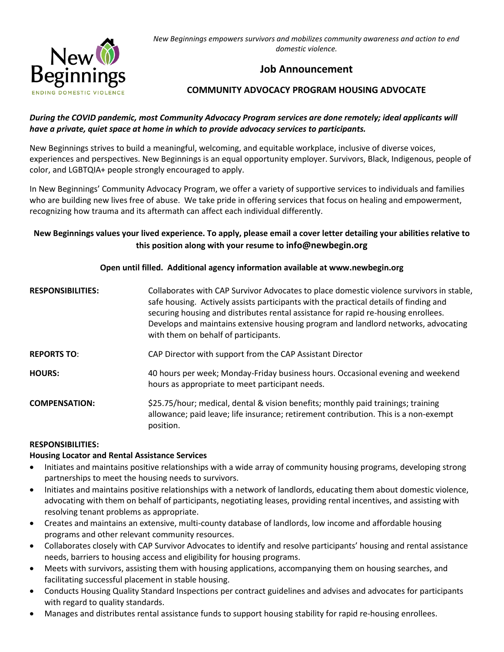

*New Beginnings empowers survivors and mobilizes community awareness and action to end domestic violence.*

# **Job Announcement**

# **COMMUNITY ADVOCACY PROGRAM HOUSING ADVOCATE**

### *During the COVID pandemic, most Community Advocacy Program services are done remotely; ideal applicants will have a private, quiet space at home in which to provide advocacy services to participants.*

New Beginnings strives to build a meaningful, welcoming, and equitable workplace, inclusive of diverse voices, experiences and perspectives. New Beginnings is an equal opportunity employer. Survivors, Black, Indigenous, people of color, and LGBTQIA+ people strongly encouraged to apply.

In New Beginnings' Community Advocacy Program, we offer a variety of supportive services to individuals and families who are building new lives free of abuse. We take pride in offering services that focus on healing and empowerment, recognizing how trauma and its aftermath can affect each individual differently.

# **New Beginnings values your lived experience. To apply, please email a cover letter detailing your abilities relative to this position along with your resume to info@newbegin.org**

### **Open until filled. Additional agency information available at www.newbegin.org**

**RESPONSIBILITIES:** Collaborates with CAP Survivor Advocates to place domestic violence survivors in stable, safe housing. Actively assists participants with the practical details of finding and securing housing and distributes rental assistance for rapid re-housing enrollees. Develops and maintains extensive housing program and landlord networks, advocating with them on behalf of participants. **REPORTS TO**: CAP Director with support from the CAP Assistant Director **HOURS:** 40 hours per week; Monday-Friday business hours. Occasional evening and weekend hours as appropriate to meet participant needs. **COMPENSATION:** \$25.75/hour; medical, dental & vision benefits; monthly paid trainings; training allowance; paid leave; life insurance; retirement contribution. This is a non-exempt position.

#### **RESPONSIBILITIES:**

#### **Housing Locator and Rental Assistance Services**

- Initiates and maintains positive relationships with a wide array of community housing programs, developing strong partnerships to meet the housing needs to survivors.
- Initiates and maintains positive relationships with a network of landlords, educating them about domestic violence, advocating with them on behalf of participants, negotiating leases, providing rental incentives, and assisting with resolving tenant problems as appropriate.
- Creates and maintains an extensive, multi-county database of landlords, low income and affordable housing programs and other relevant community resources.
- Collaborates closely with CAP Survivor Advocates to identify and resolve participants' housing and rental assistance needs, barriers to housing access and eligibility for housing programs.
- Meets with survivors, assisting them with housing applications, accompanying them on housing searches, and facilitating successful placement in stable housing.
- Conducts Housing Quality Standard Inspections per contract guidelines and advises and advocates for participants with regard to quality standards.
- Manages and distributes rental assistance funds to support housing stability for rapid re-housing enrollees.